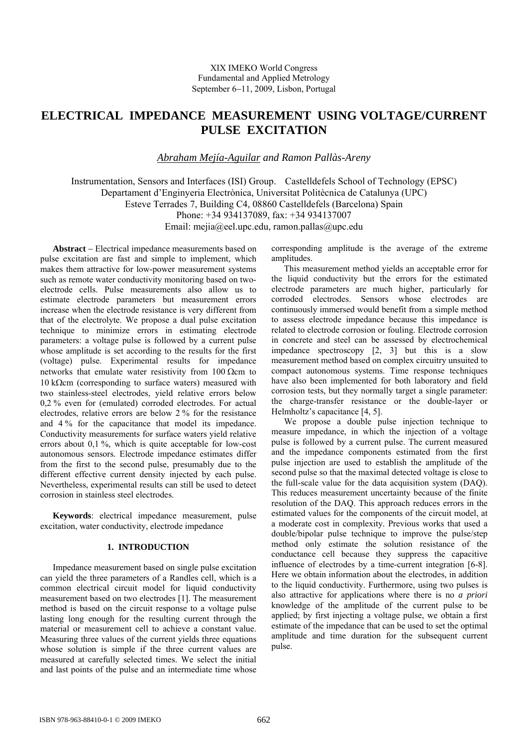# **ELECTRICAL IMPEDANCE MEASUREMENT USING VOLTAGE/CURRENT PULSE EXCITATION**

*Abraham Mejía-Aguilar and Ramon Pallàs-Areny* 

Instrumentation, Sensors and Interfaces (ISI) Group. Castelldefels School of Technology (EPSC) Departament d'Enginyeria Electrònica, Universitat Politècnica de Catalunya (UPC) Esteve Terrades 7, Building C4, 08860 Castelldefels (Barcelona) Spain Phone: +34 934137089, fax: +34 934137007 Email: mejia@eel.upc.edu, ramon.pallas@upc.edu

**Abstract** − Electrical impedance measurements based on pulse excitation are fast and simple to implement, which makes them attractive for low-power measurement systems such as remote water conductivity monitoring based on twoelectrode cells. Pulse measurements also allow us to estimate electrode parameters but measurement errors increase when the electrode resistance is very different from that of the electrolyte. We propose a dual pulse excitation technique to minimize errors in estimating electrode parameters: a voltage pulse is followed by a current pulse whose amplitude is set according to the results for the first (voltage) pulse. Experimental results for impedance networks that emulate water resistivity from 100 Ωcm to 10 kΩcm (corresponding to surface waters) measured with two stainless-steel electrodes, yield relative errors below 0,2 % even for (emulated) corroded electrodes. For actual electrodes, relative errors are below 2 % for the resistance and 4 % for the capacitance that model its impedance. Conductivity measurements for surface waters yield relative errors about 0,1 %, which is quite acceptable for low-cost autonomous sensors. Electrode impedance estimates differ from the first to the second pulse, presumably due to the different effective current density injected by each pulse. Nevertheless, experimental results can still be used to detect corrosion in stainless steel electrodes.

**Keywords**: electrical impedance measurement, pulse excitation, water conductivity, electrode impedance

## **1. INTRODUCTION**

Impedance measurement based on single pulse excitation can yield the three parameters of a Randles cell, which is a common electrical circuit model for liquid conductivity measurement based on two electrodes [1]. The measurement method is based on the circuit response to a voltage pulse lasting long enough for the resulting current through the material or measurement cell to achieve a constant value. Measuring three values of the current yields three equations whose solution is simple if the three current values are measured at carefully selected times. We select the initial and last points of the pulse and an intermediate time whose

corresponding amplitude is the average of the extreme amplitudes.

This measurement method yields an acceptable error for the liquid conductivity but the errors for the estimated electrode parameters are much higher, particularly for corroded electrodes. Sensors whose electrodes are continuously immersed would benefit from a simple method to assess electrode impedance because this impedance is related to electrode corrosion or fouling. Electrode corrosion in concrete and steel can be assessed by electrochemical impedance spectroscopy [2, 3] but this is a slow measurement method based on complex circuitry unsuited to compact autonomous systems. Time response techniques have also been implemented for both laboratory and field corrosion tests, but they normally target a single parameter: the charge-transfer resistance or the double-layer or Helmholtz's capacitance [4, 5].

We propose a double pulse injection technique to measure impedance, in which the injection of a voltage pulse is followed by a current pulse. The current measured and the impedance components estimated from the first pulse injection are used to establish the amplitude of the second pulse so that the maximal detected voltage is close to the full-scale value for the data acquisition system (DAQ). This reduces measurement uncertainty because of the finite resolution of the DAQ. This approach reduces errors in the estimated values for the components of the circuit model, at a moderate cost in complexity. Previous works that used a double/bipolar pulse technique to improve the pulse/step method only estimate the solution resistance of the conductance cell because they suppress the capacitive influence of electrodes by a time-current integration [6-8]. Here we obtain information about the electrodes, in addition to the liquid conductivity. Furthermore, using two pulses is also attractive for applications where there is no *a priori* knowledge of the amplitude of the current pulse to be applied; by first injecting a voltage pulse, we obtain a first estimate of the impedance that can be used to set the optimal amplitude and time duration for the subsequent current pulse.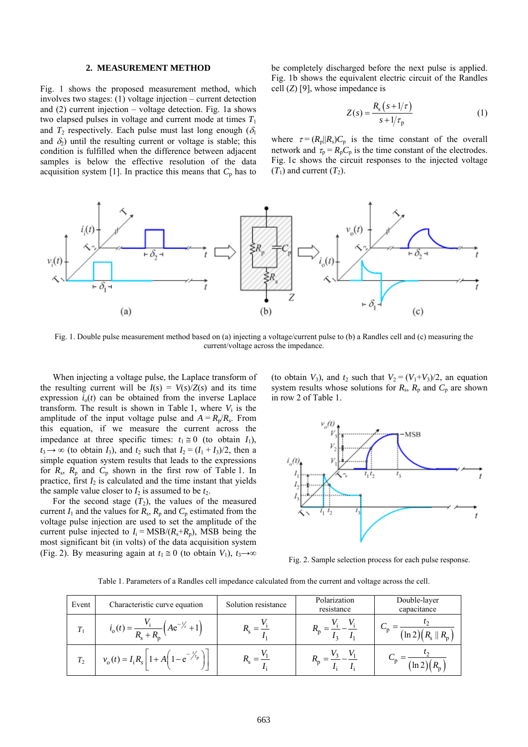### **2. MEASUREMENT METHOD**

Fig. 1 shows the proposed measurement method, which involves two stages: (1) voltage injection – current detection and (2) current injection – voltage detection. Fig. 1a shows two elapsed pulses in voltage and current mode at times  $T_1$ and  $T_2$  respectively. Each pulse must last long enough ( $\delta_1$ ) and  $\delta_2$ ) until the resulting current or voltage is stable; this condition is fulfilled when the difference between adjacent samples is below the effective resolution of the data acquisition system [1]. In practice this means that  $C_p$  has to be completely discharged before the next pulse is applied. Fig. 1b shows the equivalent electric circuit of the Randles cell (*Z*) [9], whose impedance is

$$
Z(s) = \frac{R_s (s + 1/\tau)}{s + 1/\tau_p} \tag{1}
$$

where  $\tau = (R_{\rm p}||R_{\rm s})C_{\rm p}$  is the time constant of the overall network and  $\tau_p = R_p C_p$  is the time constant of the electrodes. Fig. 1c shows the circuit responses to the injected voltage  $(T_1)$  and current  $(T_2)$ .



Fig. 1. Double pulse measurement method based on (a) injecting a voltage/current pulse to (b) a Randles cell and (c) measuring the current/voltage across the impedance.

When injecting a voltage pulse, the Laplace transform of the resulting current will be  $I(s) = V(s)/Z(s)$  and its time expression  $i_0(t)$  can be obtained from the inverse Laplace transform. The result is shown in Table 1, where  $V_i$  is the amplitude of the input voltage pulse and  $A = R_p/R_s$ . From this equation, if we measure the current across the impedance at three specific times:  $t_1 \approx 0$  (to obtain  $I_1$ ),  $t_3 \rightarrow \infty$  (to obtain *I*<sub>3</sub>), and  $t_2$  such that  $I_2 = (I_1 + I_3)/2$ , then a simple equation system results that leads to the expressions for  $R_s$ ,  $R_p$  and  $C_p$  shown in the first row of Table 1. In practice, first  $I_2$  is calculated and the time instant that yields the sample value closer to  $I_2$  is assumed to be  $t_2$ .

For the second stage  $(T_2)$ , the values of the measured current  $I_1$  and the values for  $R_s$ ,  $R_p$  and  $C_p$  estimated from the voltage pulse injection are used to set the amplitude of the current pulse injected to  $I_i = \text{MSB}/(R_s + R_p)$ , MSB being the most significant bit (in volts) of the data acquisition system (Fig. 2). By measuring again at  $t_1 \equiv 0$  (to obtain  $V_1$ ),  $t_3 \rightarrow \infty$  (to obtain  $V_3$ ), and  $t_2$  such that  $V_2 = (V_1 + V_3)/2$ , an equation system results whose solutions for  $R_s$ ,  $R_p$  and  $C_p$  are shown in row 2 of Table 1.



Fig. 2. Sample selection process for each pulse response.

Table 1. Parameters of a Randles cell impedance calculated from the current and voltage across the cell.

| Event | Characteristic curve equation                          | Solution resistance | Polarization<br>resistance | Double-layer<br>capacitance            |  |
|-------|--------------------------------------------------------|---------------------|----------------------------|----------------------------------------|--|
| $T_1$ | $\left( Ae^{-\frac{t}{r}} + \right)$<br>$l_0(t) = -$   |                     |                            | $(\ln 2)(R_{\rm s}$    $R_{\rm p}$ $]$ |  |
| $T_2$ | $v_o(t) = I_i R_s   1 + A   1 - e^{-\frac{t}{\tau_p}}$ |                     |                            | ln 2                                   |  |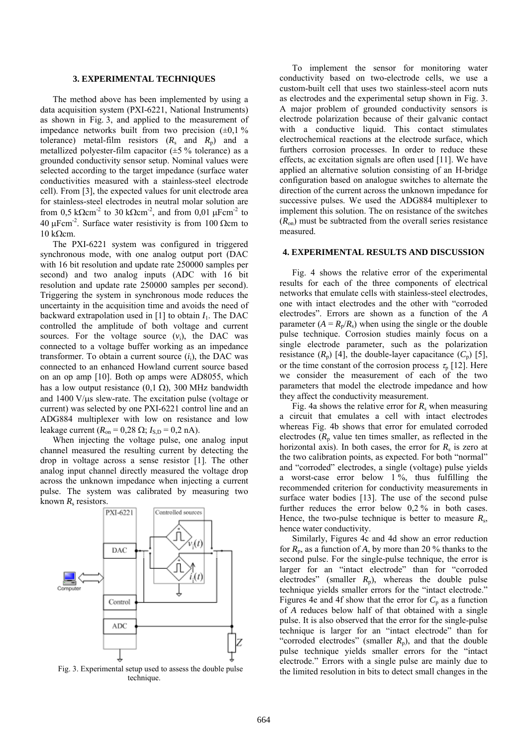#### **3. EXPERIMENTAL TECHNIQUES**

The method above has been implemented by using a data acquisition system (PXI-6221, National Instruments) as shown in Fig. 3, and applied to the measurement of impedance networks built from two precision  $(\pm 0, 1\%)$ tolerance) metal-film resistors  $(R_s$  and  $R_p$ ) and a metallized polyester-film capacitor  $(\pm 5\%$  tolerance) as a grounded conductivity sensor setup. Nominal values were selected according to the target impedance (surface water conductivities measured with a stainless-steel electrode cell). From [3], the expected values for unit electrode area for stainless-steel electrodes in neutral molar solution are from 0,5 k $\Omega$ cm<sup>-2</sup> to 30 k $\Omega$ cm<sup>-2</sup>, and from 0,01  $\mu$ Fcm<sup>-2</sup> to 40 μFcm<sup>-2</sup>. Surface water resistivity is from 100 Ωcm to 10 kΩcm.

The PXI-6221 system was configured in triggered synchronous mode, with one analog output port (DAC with 16 bit resolution and update rate 250000 samples per second) and two analog inputs (ADC with 16 bit resolution and update rate 250000 samples per second). Triggering the system in synchronous mode reduces the uncertainty in the acquisition time and avoids the need of backward extrapolation used in  $[1]$  to obtain  $I_1$ . The DAC controlled the amplitude of both voltage and current sources. For the voltage source  $(v_i)$ , the DAC was connected to a voltage buffer working as an impedance transformer. To obtain a current source (*i*i), the DAC was connected to an enhanced Howland current source based on an op amp [10]. Both op amps were AD8055, which has a low output resistance  $(0,1 \Omega)$ , 300 MHz bandwidth and 1400 V/μs slew-rate. The excitation pulse (voltage or current) was selected by one PXI-6221 control line and an ADG884 multiplexer with low on resistance and low leakage current  $(R_{on} = 0.28 \Omega; I_{SD} = 0.2 \text{ nA}).$ 

When injecting the voltage pulse, one analog input channel measured the resulting current by detecting the drop in voltage across a sense resistor [1]. The other analog input channel directly measured the voltage drop across the unknown impedance when injecting a current pulse. The system was calibrated by measuring two known  $R_s$  resistors.



Fig. 3. Experimental setup used to assess the double pulse technique.

To implement the sensor for monitoring water conductivity based on two-electrode cells, we use a custom-built cell that uses two stainless-steel acorn nuts as electrodes and the experimental setup shown in Fig. 3. A major problem of grounded conductivity sensors is electrode polarization because of their galvanic contact with a conductive liquid. This contact stimulates electrochemical reactions at the electrode surface, which furthers corrosion processes. In order to reduce these effects, ac excitation signals are often used [11]. We have applied an alternative solution consisting of an H-bridge configuration based on analogue switches to alternate the direction of the current across the unknown impedance for successive pulses. We used the ADG884 multiplexer to implement this solution. The on resistance of the switches  $(R<sub>on</sub>)$  must be subtracted from the overall series resistance measured.

## **4. EXPERIMENTAL RESULTS AND DISCUSSION**

Fig. 4 shows the relative error of the experimental results for each of the three components of electrical networks that emulate cells with stainless-steel electrodes, one with intact electrodes and the other with "corroded electrodes". Errors are shown as a function of the *A* parameter  $(A = R_p/R_s)$  when using the single or the double pulse technique. Corrosion studies mainly focus on a single electrode parameter, such as the polarization resistance  $(R_n)$  [4], the double-layer capacitance  $(C_n)$  [5], or the time constant of the corrosion process  $\tau_p$  [12]. Here we consider the measurement of each of the two parameters that model the electrode impedance and how they affect the conductivity measurement.

Fig. 4a shows the relative error for  $R_s$  when measuring a circuit that emulates a cell with intact electrodes whereas Fig. 4b shows that error for emulated corroded electrodes  $(R_p$  value ten times smaller, as reflected in the horizontal axis). In both cases, the error for  $R<sub>s</sub>$  is zero at the two calibration points, as expected. For both "normal" and "corroded" electrodes, a single (voltage) pulse yields a worst-case error below  $1\%$ , thus fulfilling the recommended criterion for conductivity measurements in surface water bodies [13]. The use of the second pulse further reduces the error below 0,2 % in both cases. Hence, the two-pulse technique is better to measure  $R_s$ , hence water conductivity.

Similarly, Figures 4c and 4d show an error reduction for  $R_p$ , as a function of A, by more than 20 % thanks to the second pulse. For the single-pulse technique, the error is larger for an "intact electrode" than for "corroded electrodes" (smaller  $R_p$ ), whereas the double pulse technique yields smaller errors for the "intact electrode." Figures 4e and 4f show that the error for  $C_p$  as a function of *A* reduces below half of that obtained with a single pulse. It is also observed that the error for the single-pulse technique is larger for an "intact electrode" than for "corroded electrodes" (smaller  $R_p$ ), and that the double pulse technique yields smaller errors for the "intact electrode." Errors with a single pulse are mainly due to the limited resolution in bits to detect small changes in the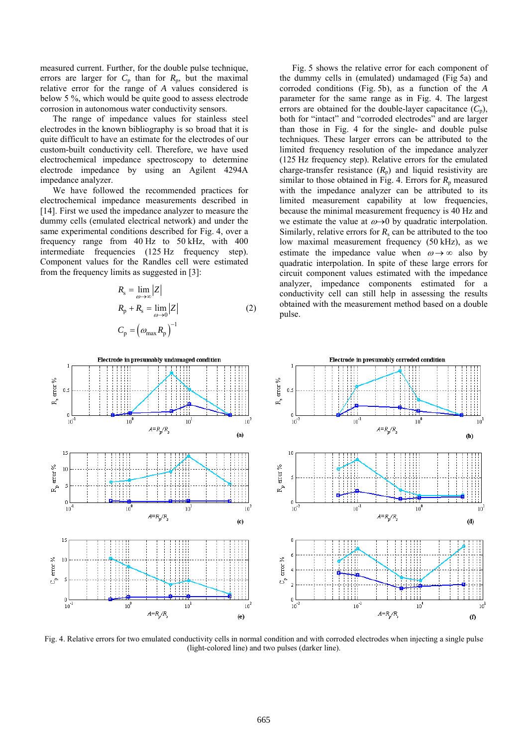measured current. Further, for the double pulse technique, errors are larger for  $C_p$  than for  $R_p$ , but the maximal relative error for the range of *A* values considered is below 5 %, which would be quite good to assess electrode corrosion in autonomous water conductivity sensors.

The range of impedance values for stainless steel electrodes in the known bibliography is so broad that it is quite difficult to have an estimate for the electrodes of our custom-built conductivity cell. Therefore, we have used electrochemical impedance spectroscopy to determine electrode impedance by using an Agilent 4294A impedance analyzer.

We have followed the recommended practices for electrochemical impedance measurements described in [14]. First we used the impedance analyzer to measure the dummy cells (emulated electrical network) and under the same experimental conditions described for Fig. 4, over a frequency range from 40 Hz to 50 kHz, with 400 intermediate frequencies (125 Hz frequency step). Component values for the Randles cell were estimated from the frequency limits as suggested in [3]:

$$
R_{\rm s} = \lim_{\omega \to \infty} |Z|
$$
  
\n
$$
R_{\rm p} + R_{\rm s} = \lim_{\omega \to 0} |Z|
$$
  
\n
$$
C_{\rm p} = \left(\omega_{\rm max} R_{\rm p}\right)^{-1}
$$
\n(2)

Fig. 5 shows the relative error for each component of the dummy cells in (emulated) undamaged (Fig 5a) and corroded conditions (Fig. 5b), as a function of the *A* parameter for the same range as in Fig. 4. The largest errors are obtained for the double-layer capacitance  $(C_p)$ , both for "intact" and "corroded electrodes" and are larger than those in Fig. 4 for the single- and double pulse techniques. These larger errors can be attributed to the limited frequency resolution of the impedance analyzer (125 Hz frequency step). Relative errors for the emulated charge-transfer resistance  $(R_p)$  and liquid resistivity are similar to those obtained in Fig. 4. Errors for  $R_p$  measured with the impedance analyzer can be attributed to its limited measurement capability at low frequencies, because the minimal measurement frequency is 40 Hz and we estimate the value at  $\omega \rightarrow 0$  by quadratic interpolation. Similarly, relative errors for  $R_s$  can be attributed to the too low maximal measurement frequency (50 kHz), as we estimate the impedance value when  $\omega \rightarrow \infty$  also by quadratic interpolation. In spite of these large errors for circuit component values estimated with the impedance analyzer, impedance components estimated for a conductivity cell can still help in assessing the results obtained with the measurement method based on a double pulse.



Fig. 4. Relative errors for two emulated conductivity cells in normal condition and with corroded electrodes when injecting a single pulse (light-colored line) and two pulses (darker line).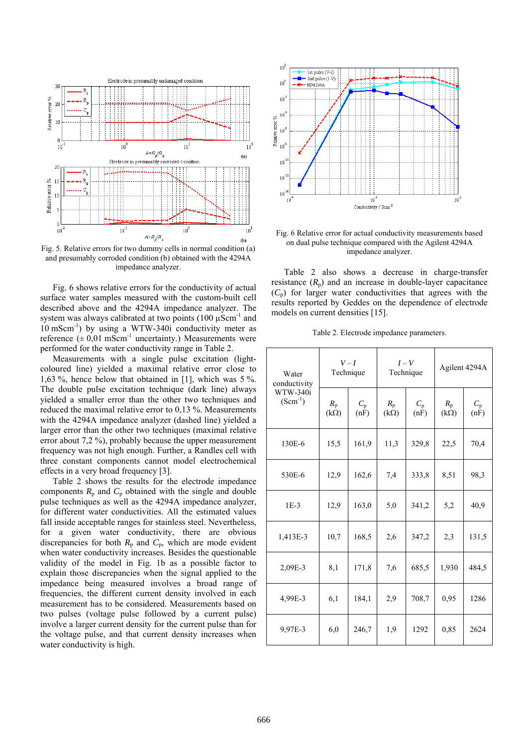

Fig. 5. Relative errors for two dummy cells in normal condition (a) and presumably corroded condition (b) obtained with the 4294A impedance analyzer.

Fig. 6 shows relative errors for the conductivity of actual surface water samples measured with the custom-built cell described above and the 4294A impedance analyzer. The system was always calibrated at two points  $(100 \mu \text{Scm}^{-1})$  and  $10 \text{ mScm}^{-1}$ ) by using a WTW-340i conductivity meter as reference  $(\pm 0.01 \text{ mScm}^{-1} \text{ uncertainty})$ . Measurements were performed for the water conductivity range in Table 2.

Measurements with a single pulse excitation (lightcoloured line) yielded a maximal relative error close to 1,63 %, hence below that obtained in [1], which was 5 %. The double pulse excitation technique (dark line) always yielded a smaller error than the other two techniques and reduced the maximal relative error to 0,13 %. Measurements with the 4294A impedance analyzer (dashed line) yielded a larger error than the other two techniques (maximal relative error about 7,2 %), probably because the upper measurement frequency was not high enough. Further, a Randles cell with three constant components cannot model electrochemical effects in a very broad frequency [3].

Table 2 shows the results for the electrode impedance components  $R_p$  and  $C_p$  obtained with the single and double pulse techniques as well as the 4294A impedance analyzer, for different water conductivities. All the estimated values fall inside acceptable ranges for stainless steel. Nevertheless, for a given water conductivity, there are obvious discrepancies for both  $R_p$  and  $C_p$ , which are mode evident when water conductivity increases. Besides the questionable validity of the model in Fig. 1b as a possible factor to explain those discrepancies when the signal applied to the impedance being measured involves a broad range of frequencies, the different current density involved in each measurement has to be considered. Measurements based on two pulses (voltage pulse followed by a current pulse) involve a larger current density for the current pulse than for the voltage pulse, and that current density increases when water conductivity is high.



Fig. 6 Relative error for actual conductivity measurements based on dual pulse technique compared with the Agilent 4294A impedance analyzer.

Table 2 also shows a decrease in charge-transfer resistance  $(R_p)$  and an increase in double-layer capacitance  $(C_p)$  for larger water conductivities that agrees with the results reported by Geddes on the dependence of electrode models on current densities [15].

Table 2. Electrode impedance parameters.

| Water<br>conductivity    | $V-I$<br>Technique     |                     | $I-V$<br>Technique         |                     | Agilent 4294A          |                     |
|--------------------------|------------------------|---------------------|----------------------------|---------------------|------------------------|---------------------|
| WTW-340i<br>$(Scm^{-1})$ | $R_{p}$<br>$(k\Omega)$ | $C_{\rm p}$<br>(nF) | $R_{\rm p}$<br>$(k\Omega)$ | $C_{\rm p}$<br>(nF) | $R_{p}$<br>$(k\Omega)$ | $C_{\rm p}$<br>(nF) |
| 130E-6                   | 15,5                   | 161,9               | 11,3                       | 329,8               | 22,5                   | 70,4                |
| 530E-6                   | 12,9                   | 162,6               | 7,4                        | 333,8               | 8,51                   | 98,3                |
| $1E-3$                   | 12,9                   | 163,0               | 5,0                        | 341,2               | 5,2                    | 40,9                |
| 1,413E-3                 | 10,7                   | 168,5               | 2,6                        | 347,2               | 2,3                    | 131,5               |
| 2,09E-3                  | 8,1                    | 171,8               | 7,6                        | 685,5               | 1,930                  | 484,5               |
| 4,99E-3                  | 6,1                    | 184,1               | 2,9                        | 708,7               | 0,95                   | 1286                |
| 9,97E-3                  | 6,0                    | 246,7               | 1,9                        | 1292                | 0,85                   | 2624                |